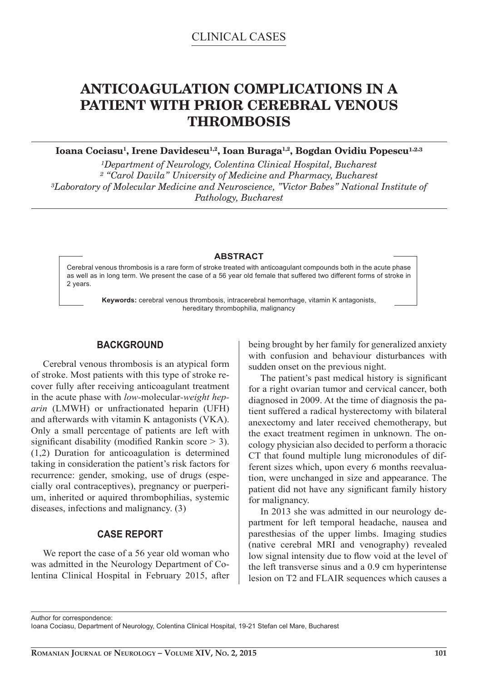# **ANTICOAGULATION COMPLICATIONS IN A PATIENT WITH PRIOR CEREBRAL VENOUS THROMBOSIS**

Ioana Cociasu<sup>1</sup>, Irene Davidescu<sup>1,2</sup>, Ioan Buraga<sup>1,2</sup>, Bogdan Ovidiu Popescu<sup>1,2,3</sup>

<sup>1</sup>Department of Neurology, Colentina Clinical Hospital, Bucharest *² "Carol Davila" University of Medicine and Pharmacy, Bucharest ³Laboratory of Molecular Medicine and Neuroscience, "Victor Babes" National Institute of Pathology, Bucharest*

### **ABSTRACT**

Cerebral venous thrombosis is a rare form of stroke treated with anticoagulant compounds both in the acute phase as well as in long term. We present the case of a 56 year old female that suffered two different forms of stroke in 2 years.

**Keywords:** cerebral venous thrombosis, intracerebral hemorrhage, vitamin K antagonists, hereditary thrombophilia, malignancy

# **BACKGROUND**

Cerebral venous thrombosis is an atypical form of stroke. Most patients with this type of stroke recover fully after receiving anticoagulant treatment in the acute phase with *low-*molecular*-weight heparin* (LMWH) or unfractionated heparin (UFH) and afterwards with vitamin K antagonists (VKA). Only a small percentage of patients are left with significant disability (modified Rankin score  $>$  3). (1,2) Duration for anticoagulation is determined taking in consideration the patient's risk factors for recurrence: gender, smoking, use of drugs (especially oral contraceptives), pregnancy or puerperium, inherited or aquired thrombophilias, systemic diseases, infections and malignancy. (3)

## **CASE REPORT**

We report the case of a 56 year old woman who was admitted in the Neurology Department of Colentina Clinical Hospital in February 2015, after being brought by her family for generalized anxiety with confusion and behaviour disturbances with sudden onset on the previous night.

The patient's past medical history is significant for a right ovarian tumor and cervical cancer, both diagnosed in 2009. At the time of diagnosis the patient suffered a radical hysterectomy with bilateral anexectomy and later received chemotherapy, but the exact treatment regimen in unknown. The oncology physician also decided to perform a thoracic CT that found multiple lung micronodules of different sizes which, upon every 6 months reevaluation, were unchanged in size and appearance. The patient did not have any significant family history for malignancy.

In 2013 she was admitted in our neurology department for left temporal headache, nausea and paresthesias of the upper limbs. Imaging studies (native cerebral MRI and venography) revealed low signal intensity due to flow void at the level of the left transverse sinus and a 0.9 cm hyperintense lesion on T2 and FLAIR sequences which causes a

Author for correspondence:

Ioana Cociasu, Department of Neurology, Colentina Clinical Hospital, 19-21 Stefan cel Mare, Bucharest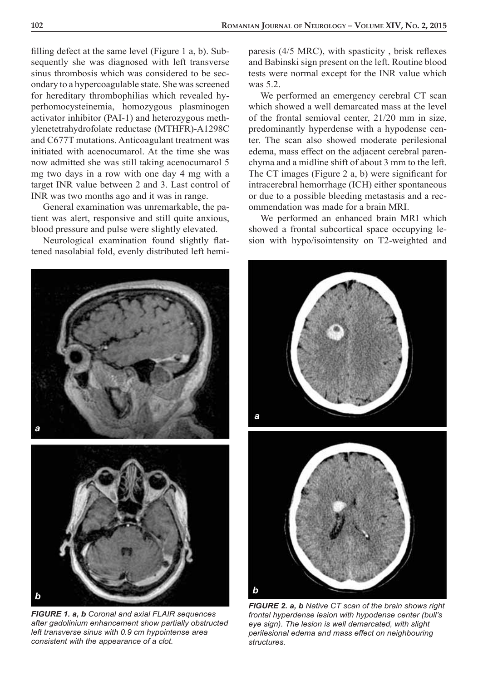filling defect at the same level (Figure 1 a, b). Subsequently she was diagnosed with left transverse sinus thrombosis which was considered to be secondary to a hypercoagulable state. She was screened for hereditary thrombophilias which revealed hyperhomocysteinemia, homozygous plasminogen activator inhibitor (PAI-1) and heterozygous methylenetetrahydrofolate reductase (MTHFR)-A1298C and C677T mutations. Anticoagulant treatment was initiated with acenocumarol. At the time she was now admitted she was still taking acenocumarol 5 mg two days in a row with one day 4 mg with a target INR value between 2 and 3. Last control of INR was two months ago and it was in range.

General examination was unremarkable, the patient was alert, responsive and still quite anxious, blood pressure and pulse were slightly elevated.

Neurological examination found slightly flattened nasolabial fold, evenly distributed left hemi-





*FIGURE 1. a, b Coronal and axial FLAIR sequences after gadolinium enhancement show partially obstructed left transverse sinus with 0.9 cm hypointense area consistent with the appearance of a clot.* 

paresis  $(4/5 \text{ MRC})$ , with spasticity, brisk reflexes and Babinski sign present on the left. Routine blood tests were normal except for the INR value which was 5.2.

We performed an emergency cerebral CT scan which showed a well demarcated mass at the level of the frontal semioval center, 21/20 mm in size, predominantly hyperdense with a hypodense center. The scan also showed moderate perilesional edema, mass effect on the adjacent cerebral parenchyma and a midline shift of about 3 mm to the left. The CT images (Figure 2  $a$ , b) were significant for intracerebral hemorrhage (ICH) either spontaneous or due to a possible bleeding metastasis and a recommendation was made for a brain MRI.

We performed an enhanced brain MRI which showed a frontal subcortical space occupying lesion with hypo/isointensity on T2-weighted and



*FIGURE 2. a, b Native CT scan of the brain shows right frontal hyperdense lesion with hypodense center (bull's eye sign). The lesion is well demarcated, with slight perilesional edema and mass effect on neighbouring structures.*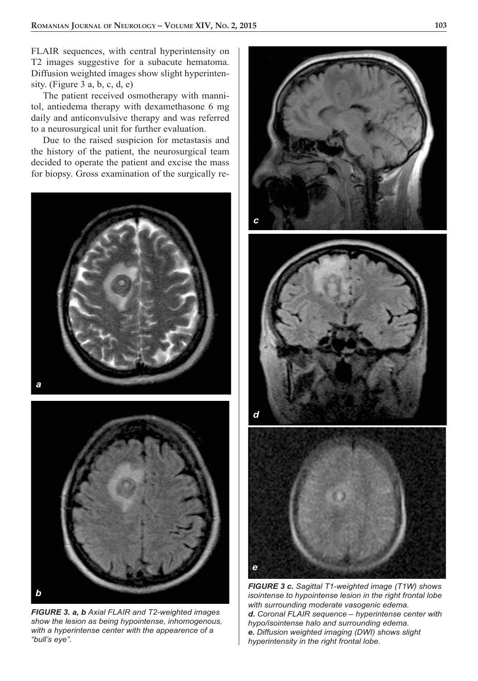FLAIR sequences, with central hyperintensity on T2 images suggestive for a subacute hematoma. Diffusion weighted images show slight hyperintensity. (Figure  $3$  a, b, c, d, e)

The patient received osmotherapy with mannitol, antiedema therapy with dexamethasone 6 mg daily and anticonvulsive therapy and was referred to a neurosurgical unit for further evaluation.

Due to the raised suspicion for metastasis and the history of the patient, the neurosurgical team decided to operate the patient and excise the mass for biopsy. Gross examination of the surgically re-





*FIGURE 3. a, b Axial FLAIR and T2-weighted images show the lesion as being hypointense, inhomogenous, with a hyperintense center with the appearence of a "bull's eye".*



*FIGURE 3 c. Sagittal T1-weighted image (T1W) shows isointense to hypointense lesion in the right frontal lobe with surrounding moderate vasogenic edema. d. Coronal FLAIR sequence – hyperintense center with hypo/isointense halo and surrounding edema. e. Diffusion weighted imaging (DWI) shows slight hyperintensity in the right frontal lobe.*